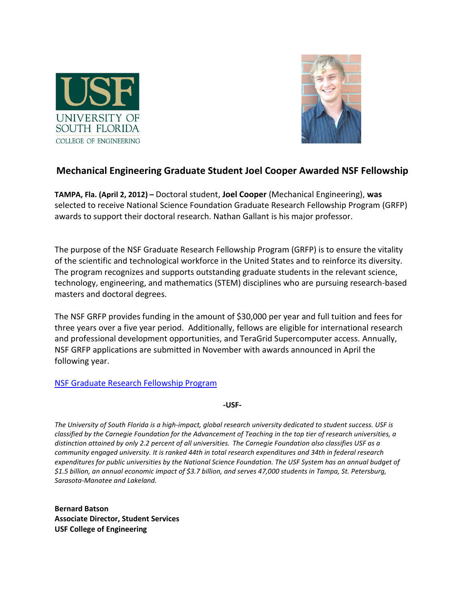



## **Mechanical Engineering Graduate Student Joel Cooper Awarded NSF Fellowship**

**TAMPA, Fla. (April 2, 2012) –** Doctoral student, **Joel Cooper** (Mechanical Engineering), **was**  selected to receive National Science Foundation Graduate Research Fellowship Program (GRFP) awards to support their doctoral research. Nathan Gallant is his major professor.

The purpose of the NSF Graduate Research Fellowship Program (GRFP) is to ensure the vitality of the scientific and technological workforce in the United States and to reinforce its diversity. The program recognizes and supports outstanding graduate students in the relevant science, technology, engineering, and mathematics (STEM) disciplines who are pursuing research-based masters and doctoral degrees.

The NSF GRFP provides funding in the amount of \$30,000 per year and full tuition and fees for three years over a five year period. Additionally, fellows are eligible for international research and professional development opportunities, and TeraGrid Supercomputer access. Annually, NSF GRFP applications are submitted in November with awards announced in April the following year.

## [NSF Graduate Research Fellowship Program](http://www.nsfgrfp.org/)

**-USF-**

*The University of South Florida is a high-impact, global research university dedicated to student success. USF is classified by the Carnegie Foundation for the Advancement of Teaching in the top tier of research universities, a distinction attained by only 2.2 percent of all universities. The Carnegie Foundation also classifies USF as a community engaged university. It is ranked 44th in total research expenditures and 34th in federal research expenditures for public universities by the National Science Foundation. The USF System has an annual budget of \$1.5 billion, an annual economic impact of \$3.7 billion, and serves 47,000 students in Tampa, St. Petersburg, Sarasota-Manatee and Lakeland.*

**Bernard Batson Associate Director, Student Services USF College of Engineering**